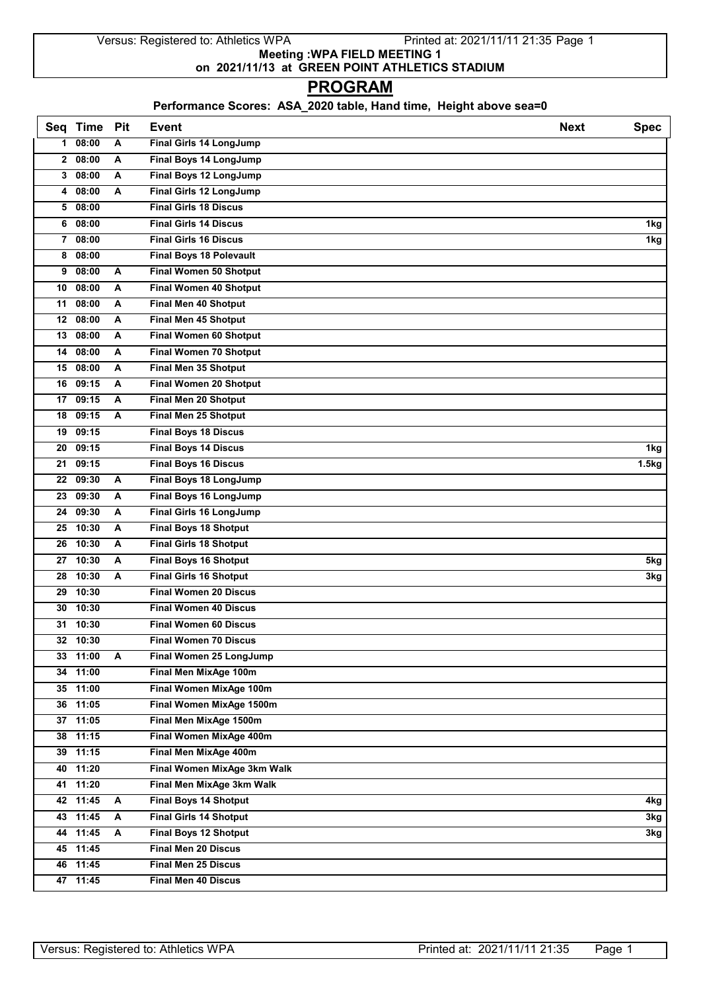Versus: Registered to: Athletics WPA Printed at: 2021/11/11 21:35 Page 1 **Meeting :WPA FIELD MEETING 1 on 2021/11/13 at GREEN POINT ATHLETICS STADIUM**

## **PROGRAM**

## **Performance Scores: ASA\_2020 table, Hand time, Height above sea=0**

|              | Seq Time | Pit | <b>Event</b>                   | <b>Next</b> | <b>Spec</b> |
|--------------|----------|-----|--------------------------------|-------------|-------------|
| $\mathbf 1$  | 08:00    | A   | Final Girls 14 LongJump        |             |             |
| $\mathbf{2}$ | 08:00    | A   | Final Boys 14 LongJump         |             |             |
| 3            | 08:00    | A   | Final Boys 12 LongJump         |             |             |
| 4            | 08:00    | A   | Final Girls 12 LongJump        |             |             |
| 5            | 08:00    |     | <b>Final Girls 18 Discus</b>   |             |             |
| 6            | 08:00    |     | <b>Final Girls 14 Discus</b>   |             | 1kg         |
| 7            | 08:00    |     | <b>Final Girls 16 Discus</b>   |             | 1kg         |
| 8            | 08:00    |     | <b>Final Boys 18 Polevault</b> |             |             |
| 9            | 08:00    | A   | <b>Final Women 50 Shotput</b>  |             |             |
| 10           | 08:00    | A   | Final Women 40 Shotput         |             |             |
| 11           | 08:00    | Α   | Final Men 40 Shotput           |             |             |
|              | 12 08:00 | A   | Final Men 45 Shotput           |             |             |
| 13           | 08:00    | A   | Final Women 60 Shotput         |             |             |
| 14           | 08:00    | Α   | <b>Final Women 70 Shotput</b>  |             |             |
| 15           | 08:00    | A   | Final Men 35 Shotput           |             |             |
| 16           | 09:15    | A   | Final Women 20 Shotput         |             |             |
| 17           | 09:15    | A   | Final Men 20 Shotput           |             |             |
| 18           | 09:15    | A   | Final Men 25 Shotput           |             |             |
|              | 19 09:15 |     | <b>Final Boys 18 Discus</b>    |             |             |
| 20           | 09:15    |     | <b>Final Boys 14 Discus</b>    |             | 1kg         |
| 21           | 09:15    |     | <b>Final Boys 16 Discus</b>    |             | 1.5kg       |
| 22           | 09:30    | A   | Final Boys 18 LongJump         |             |             |
| 23           | 09:30    | A   | Final Boys 16 LongJump         |             |             |
| 24           | 09:30    | A   | <b>Final Girls 16 LongJump</b> |             |             |
| 25           | 10:30    | A   | <b>Final Boys 18 Shotput</b>   |             |             |
| 26           | 10:30    | Α   | <b>Final Girls 18 Shotput</b>  |             |             |
|              | 27 10:30 | Α   | <b>Final Boys 16 Shotput</b>   |             | 5kg         |
| 28           | 10:30    | A   | <b>Final Girls 16 Shotput</b>  |             | 3kg         |
| 29           | 10:30    |     | <b>Final Women 20 Discus</b>   |             |             |
| 30           | 10:30    |     | <b>Final Women 40 Discus</b>   |             |             |
|              | 31 10:30 |     | <b>Final Women 60 Discus</b>   |             |             |
|              | 32 10:30 |     | <b>Final Women 70 Discus</b>   |             |             |
|              | 33 11:00 | A   | Final Women 25 LongJump        |             |             |
|              | 34 11:00 |     | Final Men MixAge 100m          |             |             |
|              | 35 11:00 |     | Final Women MixAge 100m        |             |             |
|              | 36 11:05 |     | Final Women MixAge 1500m       |             |             |
|              | 37 11:05 |     | Final Men MixAge 1500m         |             |             |
|              | 38 11:15 |     | Final Women MixAge 400m        |             |             |
|              | 39 11:15 |     | Final Men MixAge 400m          |             |             |
|              | 40 11:20 |     | Final Women MixAge 3km Walk    |             |             |
|              | 41 11:20 |     | Final Men MixAge 3km Walk      |             |             |
|              | 42 11:45 | A   | <b>Final Boys 14 Shotput</b>   |             | 4kg         |
|              | 43 11:45 | A   | <b>Final Girls 14 Shotput</b>  |             | 3kg         |
|              | 44 11:45 | A   | <b>Final Boys 12 Shotput</b>   |             | 3kg         |
|              | 45 11:45 |     | <b>Final Men 20 Discus</b>     |             |             |
|              | 46 11:45 |     | Final Men 25 Discus            |             |             |
|              | 47 11:45 |     | <b>Final Men 40 Discus</b>     |             |             |
|              |          |     |                                |             |             |